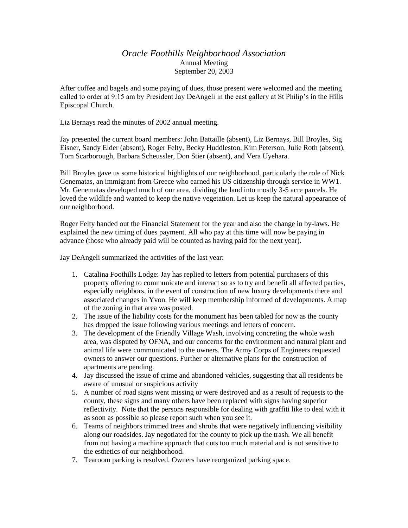## *Oracle Foothills Neighborhood Association* Annual Meeting September 20, 2003

After coffee and bagels and some paying of dues, those present were welcomed and the meeting called to order at 9:15 am by President Jay DeAngeli in the east gallery at St Philip's in the Hills Episcopal Church.

Liz Bernays read the minutes of 2002 annual meeting.

Jay presented the current board members: John Battaille (absent), Liz Bernays, Bill Broyles, Sig Eisner, Sandy Elder (absent), Roger Felty, Becky Huddleston, Kim Peterson, Julie Roth (absent), Tom Scarborough, Barbara Scheussler, Don Stier (absent), and Vera Uyehara.

Bill Broyles gave us some historical highlights of our neighborhood, particularly the role of Nick Genematas, an immigrant from Greece who earned his US citizenship through service in WW1. Mr. Genematas developed much of our area, dividing the land into mostly 3-5 acre parcels. He loved the wildlife and wanted to keep the native vegetation. Let us keep the natural appearance of our neighborhood.

Roger Felty handed out the Financial Statement for the year and also the change in by-laws. He explained the new timing of dues payment. All who pay at this time will now be paying in advance (those who already paid will be counted as having paid for the next year).

Jay DeAngeli summarized the activities of the last year:

- 1. Catalina Foothills Lodge: Jay has replied to letters from potential purchasers of this property offering to communicate and interact so as to try and benefit all affected parties, especially neighbors, in the event of construction of new luxury developments there and associated changes in Yvon. He will keep membership informed of developments. A map of the zoning in that area was posted.
- 2. The issue of the liability costs for the monument has been tabled for now as the county has dropped the issue following various meetings and letters of concern.
- 3. The development of the Friendly Village Wash, involving concreting the whole wash area, was disputed by OFNA, and our concerns for the environment and natural plant and animal life were communicated to the owners. The Army Corps of Engineers requested owners to answer our questions. Further or alternative plans for the construction of apartments are pending.
- 4. Jay discussed the issue of crime and abandoned vehicles, suggesting that all residents be aware of unusual or suspicious activity
- 5. A number of road signs went missing or were destroyed and as a result of requests to the county, these signs and many others have been replaced with signs having superior reflectivity. Note that the persons responsible for dealing with graffiti like to deal with it as soon as possible so please report such when you see it.
- 6. Teams of neighbors trimmed trees and shrubs that were negatively influencing visibility along our roadsides. Jay negotiated for the county to pick up the trash. We all benefit from not having a machine approach that cuts too much material and is not sensitive to the esthetics of our neighborhood.
- 7. Tearoom parking is resolved. Owners have reorganized parking space.